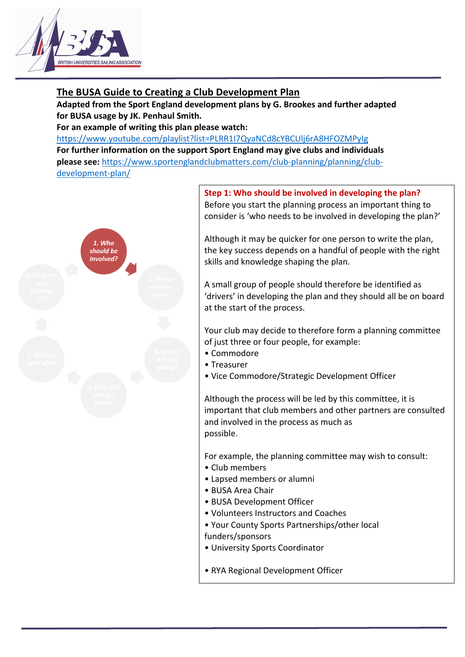

# **The BUSA Guide to Creating a Club Development Plan**

**Adapted from the Sport England development plans by G. Brookes and further adapted for BUSA usage by JK. Penhaul Smith.**

**For an example of writing this plan please watch:** 

https://www.youtube.com/playlist?list=PLRR1I7QyaNCd8cYBCUlj6rA8HFOZMPyIg **For further information on the support Sport England may give clubs and individuals please see:** https://www.sportenglandclubmatters.com/club-planning/planning/clubdevelopment-plan/



**Step 1: Who should be involved in developing the plan?** Before you start the planning process an important thing to consider is 'who needs to be involved in developing the plan?'

Although it may be quicker for one person to write the plan, the key success depends on a handful of people with the right skills and knowledge shaping the plan.

A small group of people should therefore be identified as 'drivers' in developing the plan and they should all be on board at the start of the process.

Your club may decide to therefore form a planning committee of just three or four people, for example:

- Commodore
- Treasurer
- Vice Commodore/Strategic Development Officer

Although the process will be led by this committee, it is important that club members and other partners are consulted and involved in the process as much as possible.

For example, the planning committee may wish to consult:

- Club members
- Lapsed members or alumni
- BUSA Area Chair
- BUSA Development Officer
- Volunteers Instructors and Coaches
- Your County Sports Partnerships/other local funders/sponsors
- University Sports Coordinator
- RYA Regional Development Officer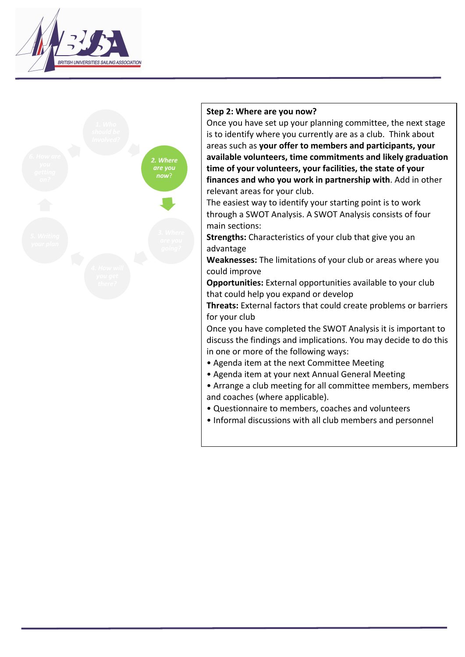



### **Step 2: Where are you now?**

Once you have set up your planning committee, the next stage is to identify where you currently are as a club. Think about areas such as **your offer to members and participants, your available volunteers, time commitments and likely graduation time of your volunteers, your facilities, the state of your finances and who you work in partnership with**. Add in other relevant areas for your club.

The easiest way to identify your starting point is to work through a SWOT Analysis. A SWOT Analysis consists of four main sections:

**Strengths:** Characteristics of your club that give you an advantage

**Weaknesses:** The limitations of your club or areas where you could improve

**Opportunities:** External opportunities available to your club that could help you expand or develop

**Threats:** External factors that could create problems or barriers for your club

Once you have completed the SWOT Analysis it is important to discuss the findings and implications. You may decide to do this in one or more of the following ways:

- Agenda item at the next Committee Meeting
- Agenda item at your next Annual General Meeting
- Arrange a club meeting for all committee members, members and coaches (where applicable).
- Questionnaire to members, coaches and volunteers
- Informal discussions with all club members and personnel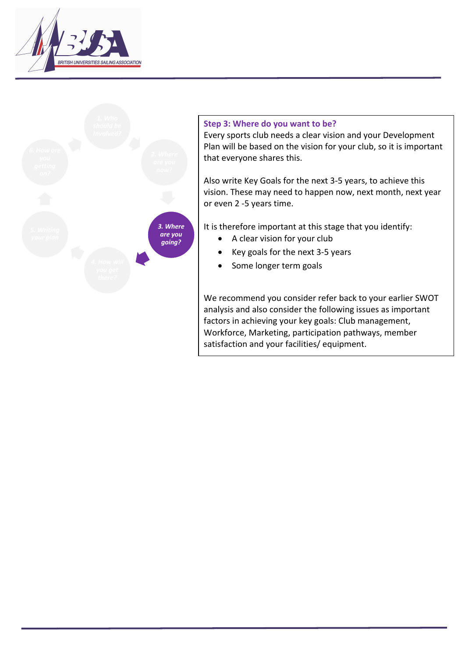



### **Step 3: Where do you want to be?**

Every sports club needs a clear vision and your Development Plan will be based on the vision for your club, so it is important that everyone shares this.

Also write Key Goals for the next 3-5 years, to achieve this vision. These may need to happen now, next month, next year or even 2 -5 years time.

It is therefore important at this stage that you identify:

- A clear vision for your club
- Key goals for the next 3-5 years
- Some longer term goals

We recommend you consider refer back to your earlier SWOT analysis and also consider the following issues as important factors in achieving your key goals: Club management, Workforce, Marketing, participation pathways, member satisfaction and your facilities/ equipment.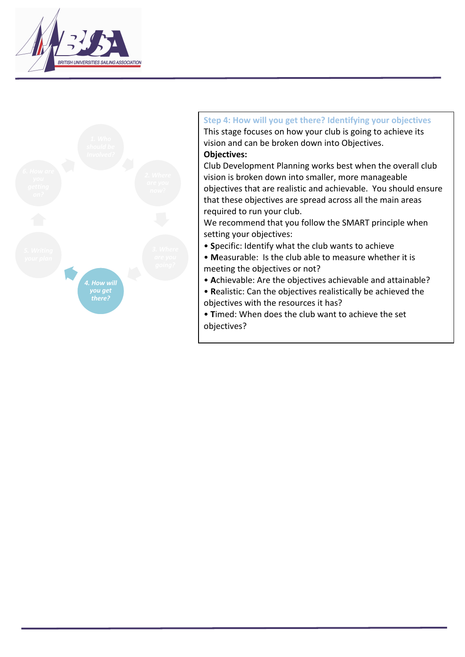



# **Step 4: How will you get there? Identifying your objectives** This stage focuses on how your club is going to achieve its vision and can be broken down into Objectives. **Objectives:**

Club Development Planning works best when the overall club vision is broken down into smaller, more manageable objectives that are realistic and achievable. You should ensure that these objectives are spread across all the main areas required to run your club.

We recommend that you follow the SMART principle when setting your objectives:

- **S**pecific: Identify what the club wants to achiev e
- **M**easurable: Is the club able to measure whether it is meeting the objectives or not?
- **A**chievable: Are the objectives achievable and attainable?
- **R**ealistic: Can the objectives realistically be achieved the objectives with the resources it has?
- **T**imed: When does the club want to achieve the set objectives?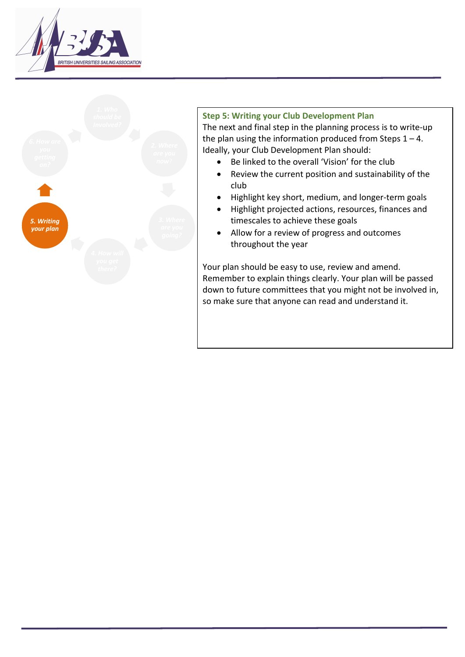



## **Step 5: Writing your Club Development Plan**

The next and final step in the planning process is to write-up the plan using the information produced from Steps  $1 - 4$ . Ideally, your Club Development Plan should:

- Be linked to the overall 'Vision' for the club
- Review the current position and sustainability of the club
- Highlight key short, medium, and longer-term goals
- Highlight projected actions, resources, finances and timescales to achieve these goals
- Allow for a review of progress and outcomes throughout the year

Your plan should be easy to use, review and amend. Remember to explain things clearly. Your plan will be passed down to future committees that you might not be involved in, so make sure that anyone can read and understand it.